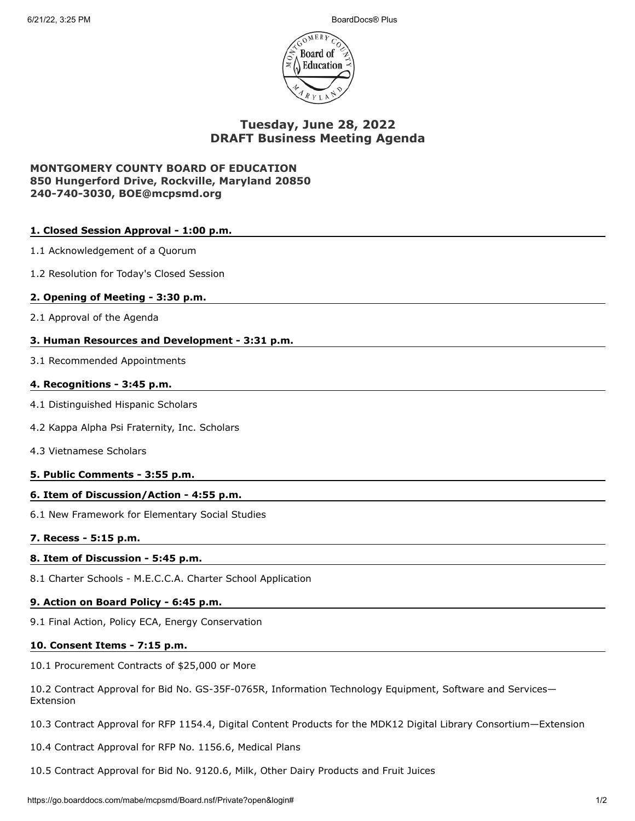6/21/22, 3:25 PM BoardDocs® Plus



# **Tuesday, June 28, 2022 DRAFT Business Meeting Agenda**

## **MONTGOMERY COUNTY BOARD OF EDUCATION 850 Hungerford Drive, Rockville, Maryland 20850 240-740-3030, BOE@mcpsmd.org**

| 1. Closed Session Approval - 1:00 p.m.                                                                                 |
|------------------------------------------------------------------------------------------------------------------------|
| 1.1 Acknowledgement of a Quorum                                                                                        |
| 1.2 Resolution for Today's Closed Session                                                                              |
| 2. Opening of Meeting - 3:30 p.m.                                                                                      |
| 2.1 Approval of the Agenda                                                                                             |
| 3. Human Resources and Development - 3:31 p.m.                                                                         |
| 3.1 Recommended Appointments                                                                                           |
| 4. Recognitions - 3:45 p.m.                                                                                            |
| 4.1 Distinguished Hispanic Scholars                                                                                    |
| 4.2 Kappa Alpha Psi Fraternity, Inc. Scholars                                                                          |
| 4.3 Vietnamese Scholars                                                                                                |
| 5. Public Comments - 3:55 p.m.                                                                                         |
| 6. Item of Discussion/Action - 4:55 p.m.                                                                               |
| 6.1 New Framework for Elementary Social Studies                                                                        |
| 7. Recess - 5:15 p.m.                                                                                                  |
| 8. Item of Discussion - 5:45 p.m.                                                                                      |
| 8.1 Charter Schools - M.E.C.C.A. Charter School Application                                                            |
| 9. Action on Board Policy - 6:45 p.m.                                                                                  |
| 9.1 Final Action, Policy ECA, Energy Conservation                                                                      |
| 10. Consent Items - 7:15 p.m.                                                                                          |
| 10.1 Procurement Contracts of \$25,000 or More                                                                         |
| 10.2 Contract Approval for Bid No. GS-35F-0765R, Information Technology Equipment, Software and Services-<br>Extension |
| 10.3 Contract Approval for RFP 1154.4, Digital Content Products for the MDK12 Digital Library Consortium-Extension     |
|                                                                                                                        |

10.4 Contract Approval for RFP No. 1156.6, Medical Plans

10.5 Contract Approval for Bid No. 9120.6, Milk, Other Dairy Products and Fruit Juices